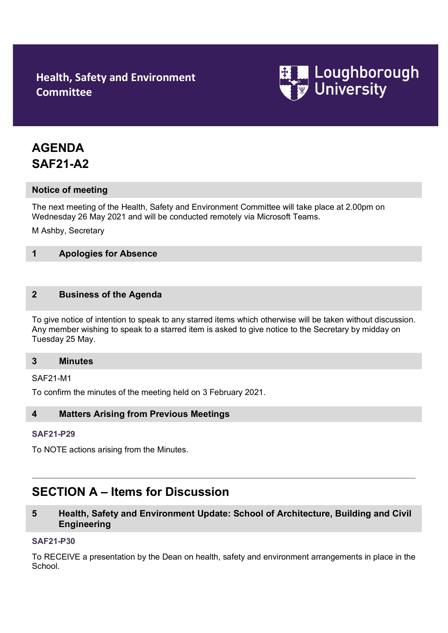## **Health, Safety and Environment Committee**



# **AGENDA SAF21-A2**

## **Notice of meeting**

The next meeting of the Health, Safety and Environment Committee will take place at 2.00pm on Wednesday 26 May 2021 and will be conducted remotely via Microsoft Teams.

M Ashby, Secretary

## **1 Apologies for Absence**

## **2 Business of the Agenda**

To give notice of intention to speak to any starred items which otherwise will be taken without discussion. Any member wishing to speak to a starred item is asked to give notice to the Secretary by midday on Tuesday 25 May.

#### **3 Minutes**

#### SAF21-M1

To confirm the minutes of the meeting held on 3 February 2021.

#### **4 Matters Arising from Previous Meetings**

## **[SAF21-P2](http://www.lboro.ac.uk/admin/committees/hsec/papers/2012/saf12-p32.doc)9**

To NOTE actions arising from the Minutes.

## **SECTION A – Items for Discussion**

## **5 Health, Safety and Environment Update: School of Architecture, Building and Civil Engineering**

### **[SAF21-P3](http://www.lboro.ac.uk/admin/committees/hsec/papers/2012/saf12-p32.doc)0**

To RECEIVE a presentation by the Dean on health, safety and environment arrangements in place in the School.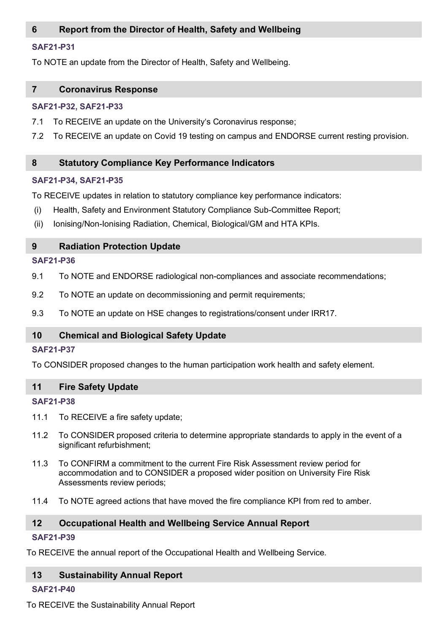## **6 Report from the Director of Health, Safety and Wellbeing**

## **[SAF21-P3](http://www.lboro.ac.uk/admin/committees/hsec/papers/2012/saf12-p32.doc)1**

To NOTE an update from the Director of Health, Safety and Wellbeing.

#### **7 Coronavirus Response**

## **[SAF21-P3](http://www.lboro.ac.uk/admin/committees/hsec/papers/2012/saf12-p32.doc)2, [SAF21-P3](http://www.lboro.ac.uk/admin/committees/hsec/papers/2012/saf12-p32.doc)3**

- 7.1 To RECEIVE an update on the University's Coronavirus response;
- 7.2 To RECEIVE an update on Covid 19 testing on campus and ENDORSE current resting provision.

## **8 Statutory Compliance Key Performance Indicators**

## **[SAF21-P3](http://www.lboro.ac.uk/admin/committees/hsec/papers/2012/saf12-p32.doc)4, [SAF21-P3](http://www.lboro.ac.uk/admin/committees/hsec/papers/2012/saf12-p32.doc)5**

To RECEIVE updates in relation to statutory compliance key performance indicators:

- (i) Health, Safety and Environment Statutory Compliance Sub-Committee Report;
- (ii) Ionising/Non-Ionising Radiation, Chemical, Biological/GM and HTA KPIs.

## **9 Radiation Protection Update**

## **[SAF21-P3](http://www.lboro.ac.uk/admin/committees/hsec/papers/2012/saf12-p32.doc)6**

- 9.1 To NOTE and ENDORSE radiological non-compliances and associate recommendations;
- 9.2 To NOTE an update on decommissioning and permit requirements;
- 9.3 To NOTE an update on HSE changes to registrations/consent under IRR17.

## **10 Chemical and Biological Safety Update**

## **[SAF21-P3](http://www.lboro.ac.uk/admin/committees/hsec/papers/2012/saf12-p32.doc)7**

To CONSIDER proposed changes to the human participation work health and safety element.

#### **11 Fire Safety Update**

#### **[SAF21-P3](http://www.lboro.ac.uk/admin/committees/hsec/papers/2012/saf12-p32.doc)8**

- 11.1 To RECEIVE a fire safety update;
- 11.2 To CONSIDER proposed criteria to determine appropriate standards to apply in the event of a significant refurbishment;
- 11.3 To CONFIRM a commitment to the current Fire Risk Assessment review period for accommodation and to CONSIDER a proposed wider position on University Fire Risk Assessments review periods;
- 11.4 To NOTE agreed actions that have moved the fire compliance KPI from red to amber.

## **12 Occupational Health and Wellbeing Service Annual Report**

## **[SAF21-P3](http://www.lboro.ac.uk/admin/committees/hsec/papers/2012/saf12-p32.doc)9**

To RECEIVE the annual report of the Occupational Health and Wellbeing Service.

## **13 Sustainability Annual Report**

#### **[SAF21-P4](http://www.lboro.ac.uk/admin/committees/hsec/papers/2012/saf12-p32.doc)0**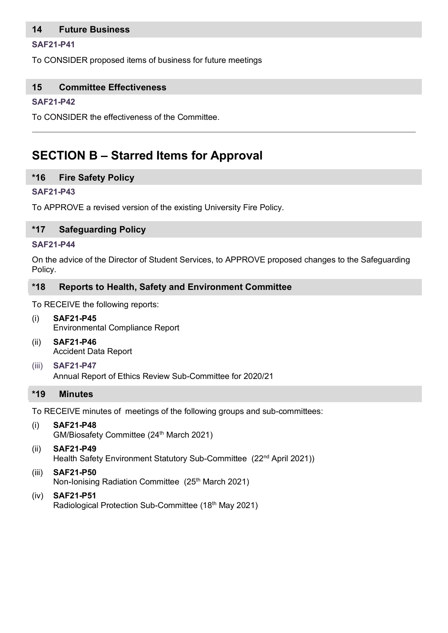## **14 Future Business**

#### **[SAF21-P4](http://www.lboro.ac.uk/admin/committees/hsec/papers/2012/saf12-p32.doc)1**

To CONSIDER proposed items of business for future meetings

## **15 Committee Effectiveness**

#### **[SAF21-P4](http://www.lboro.ac.uk/admin/committees/hsec/papers/2012/saf12-p32.doc)2**

To CONSIDER the effectiveness of the Committee.

## **SECTION B – Starred Items for Approval**

#### **\*16 Fire Safety Policy**

#### **[SAF21-P4](http://www.lboro.ac.uk/admin/committees/hsec/papers/2012/saf12-p32.doc)3**

To APPROVE a revised version of the existing University Fire Policy.

#### **\*17 Safeguarding Policy**

#### **[SAF21-P4](http://www.lboro.ac.uk/admin/committees/hsec/papers/2012/saf12-p32.doc)4**

On the advice of the Director of Student Services, to APPROVE proposed changes to the Safeguarding Policy.

## **\*18 Reports to Health, Safety and Environment Committee**

To RECEIVE the following reports:

- (i) **SAF21-P45** Environmental Compliance Report
- (ii) **SAF21-P46** Accident Data Report
- (iii) **[SAF21-P4](http://www.lboro.ac.uk/admin/committees/hsec/papers/2012/saf12-p32.doc)7** Annual Report of Ethics Review Sub-Committee for 2020/21

#### **\*19 Minutes**

To RECEIVE minutes of meetings of the following groups and sub-committees:

- (i) **SAF21-P48** GM/Biosafety Committee (24<sup>th</sup> March 2021)
- (ii) **SAF21-P49** Health Safety Environment Statutory Sub-Committee (22<sup>nd</sup> April 2021))
- (iii) **SAF21-P50** Non-Ionising Radiation Committee (25<sup>th</sup> March 2021)
- (iv) **SAF21-P51** Radiological Protection Sub-Committee (18<sup>th</sup> May 2021)